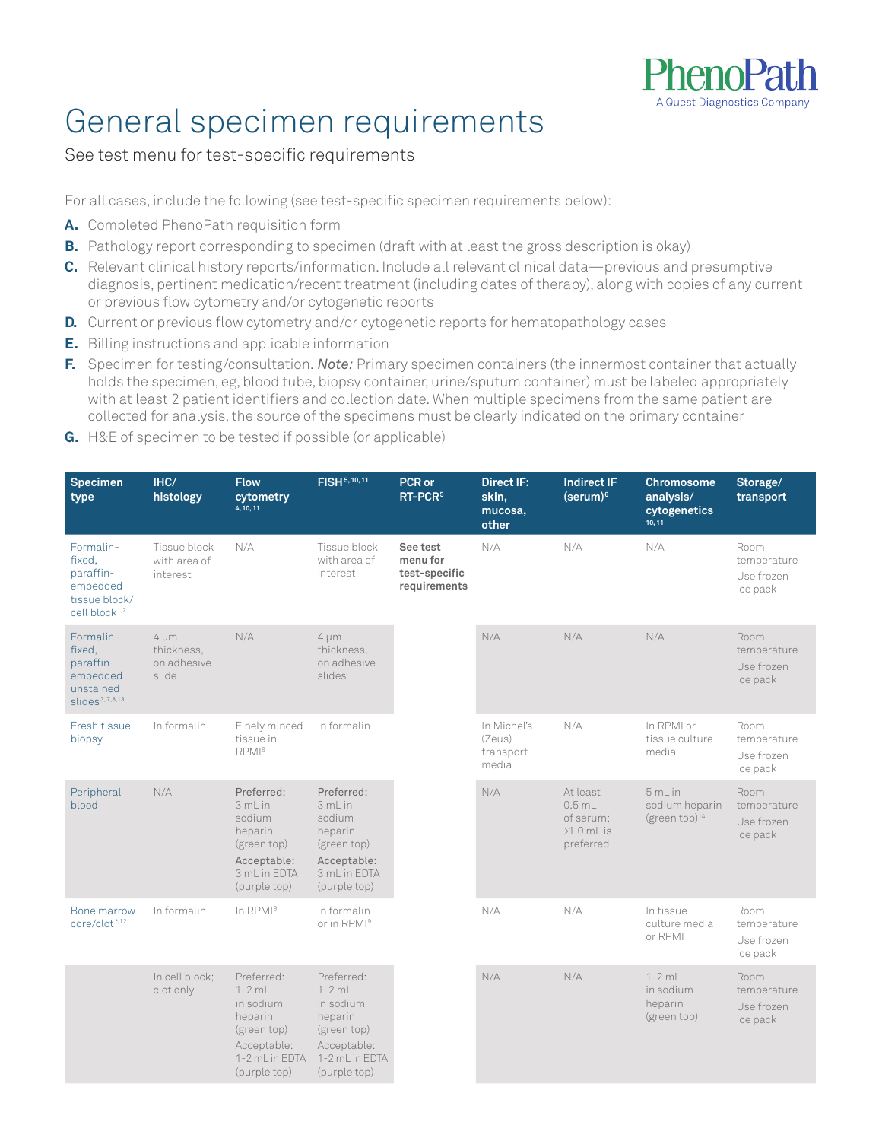

### General specimen requirements

### See test menu for test-specific requirements

For all cases, include the following (see test-specific specimen requirements below):

- **A.** Completed PhenoPath requisition form
- **B.** Pathology report corresponding to specimen (draft with at least the gross description is okay)
- **C.** Relevant clinical history reports/information. Include all relevant clinical data—previous and presumptive diagnosis, pertinent medication/recent treatment (including dates of therapy), along with copies of any current or previous flow cytometry and/or cytogenetic reports
- **D.** Current or previous flow cytometry and/or cytogenetic reports for hematopathology cases
- **E.** Billing instructions and applicable information
- **F.** Specimen for testing/consultation. *Note:* Primary specimen containers (the innermost container that actually holds the specimen, eg, blood tube, biopsy container, urine/sputum container) must be labeled appropriately with at least 2 patient identifiers and collection date. When multiple specimens from the same patient are collected for analysis, the source of the specimens must be clearly indicated on the primary container
- **G.** H&E of specimen to be tested if possible (or applicable)

| <b>Specimen</b><br>type                                                                    | IHC/<br>histology                               | <b>Flow</b><br>cytometry<br>4, 10, 11                                                                            | FISH 5, 10, 11                                                                                                   | PCR or<br>RT-PCR <sup>5</sup>                         | <b>Direct IF:</b><br>skin,<br>mucosa,<br>other | <b>Indirect IF</b><br>(serum) <sup>6</sup>                     | Chromosome<br>analysis/<br>cytogenetics<br>10, 11 | Storage/<br>transport                         |
|--------------------------------------------------------------------------------------------|-------------------------------------------------|------------------------------------------------------------------------------------------------------------------|------------------------------------------------------------------------------------------------------------------|-------------------------------------------------------|------------------------------------------------|----------------------------------------------------------------|---------------------------------------------------|-----------------------------------------------|
| Formalin-<br>fixed.<br>paraffin-<br>embedded<br>tissue block/<br>cell block <sup>1,2</sup> | Tissue block<br>with area of<br>interest        | N/A                                                                                                              | Tissue block<br>with area of<br>interest                                                                         | See test<br>menu for<br>test-specific<br>requirements | N/A                                            | N/A                                                            | N/A                                               | Room<br>temperature<br>Use frozen<br>ice pack |
| Formalin-<br>fixed.<br>paraffin-<br>embedded<br>unstained<br>slides <sup>3,7,8,13</sup>    | $4 \mu m$<br>thickness.<br>on adhesive<br>slide | N/A                                                                                                              | $4 \mu m$<br>thickness,<br>on adhesive<br>slides                                                                 |                                                       | N/A                                            | N/A                                                            | N/A                                               | Room<br>temperature<br>Use frozen<br>ice pack |
| Fresh tissue<br>biopsy                                                                     | In formalin                                     | Finely minced<br>tissue in<br>RPMI <sup>9</sup>                                                                  | In formalin                                                                                                      |                                                       | In Michel's<br>(Zeus)<br>transport<br>media    | N/A                                                            | In RPMI or<br>tissue culture<br>media             | Room<br>temperature<br>Use frozen<br>ice pack |
| Peripheral<br>blood                                                                        | N/A                                             | Preferred:<br>3mLin<br>sodium<br>heparin<br>(green top)<br>Acceptable:<br>3 mL in EDTA<br>(purple top)           | Preferred:<br>3mLin<br>sodium<br>heparin<br>(green top)<br>Acceptable:<br>3 mL in EDTA<br>(purple top)           |                                                       | N/A                                            | At least<br>$0.5$ mL<br>of serum;<br>$>1.0$ mL is<br>preferred | 5mLin<br>sodium heparin<br>(green top) $14$       | Room<br>temperature<br>Use frozen<br>ice pack |
| Bone marrow<br>core/clot <sup>*,12</sup>                                                   | In formalin                                     | In RPMI <sup>9</sup>                                                                                             | In formalin<br>or in RPMI <sup>9</sup>                                                                           |                                                       | N/A                                            | N/A                                                            | In tissue<br>culture media<br>or RPMI             | Room<br>temperature<br>Use frozen<br>ice pack |
|                                                                                            | In cell block;<br>clot only                     | Preferred:<br>$1 - 2$ mL<br>in sodium<br>heparin<br>(green top)<br>Acceptable:<br>1-2 mL in EDTA<br>(purple top) | Preferred:<br>$1 - 2$ mL<br>in sodium<br>heparin<br>(green top)<br>Acceptable:<br>1-2 mL in EDTA<br>(purple top) |                                                       | N/A                                            | N/A                                                            | $1 - 2$ mL<br>in sodium<br>heparin<br>(green top) | Room<br>temperature<br>Use frozen<br>ice pack |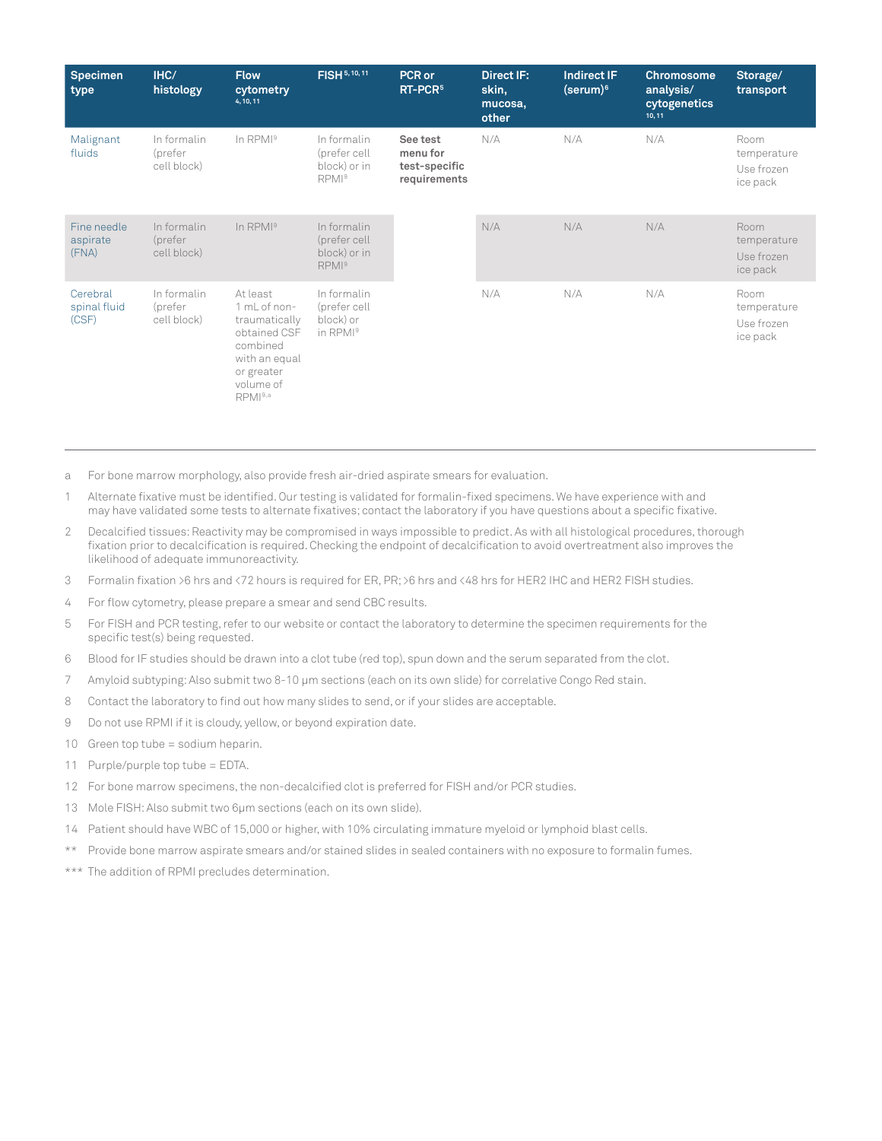| <b>Specimen</b><br>type <sup>'</sup> | IHC/<br>histology                     | <b>Flow</b><br>cytometry<br>4, 10, 11                                                                                        | FISH 5, 10, 11                                                   | PCR or<br>RT-PCR <sup>5</sup>                         | Direct IF:<br>skin,<br>mucosa,<br>other | <b>Indirect IF</b><br>$(serum)^6$ | <b>Chromosome</b><br>analysis/<br>cytogenetics<br>10, 11 | Storage/<br>transport                         |
|--------------------------------------|---------------------------------------|------------------------------------------------------------------------------------------------------------------------------|------------------------------------------------------------------|-------------------------------------------------------|-----------------------------------------|-----------------------------------|----------------------------------------------------------|-----------------------------------------------|
| Malignant<br>fluids                  | In formalin<br>(prefer<br>cell block) | In $RPMI9$                                                                                                                   | In formalin<br>(prefer cell<br>block) or in<br>RPMI <sup>9</sup> | See test<br>menu for<br>test-specific<br>requirements | N/A                                     | N/A                               | N/A                                                      | Room<br>temperature<br>Use frozen<br>ice pack |
| Fine needle<br>aspirate<br>(FNA)     | In formalin<br>(prefer<br>cell block) | $In$ RPM $I9$                                                                                                                | In formalin<br>(prefer cell<br>block) or in<br>RPMI <sup>9</sup> |                                                       | N/A                                     | N/A                               | N/A                                                      | Room<br>temperature<br>Use frozen<br>ice pack |
| Cerebral<br>spinal fluid<br>(CSF)    | In formalin<br>(prefer<br>cell block) | At least<br>1 mL of non-<br>traumatically<br>obtained CSF<br>combined<br>with an equal<br>or greater<br>volume of<br>RPMI9,a | In formalin<br>(prefer cell<br>block) or<br>in RPMI <sup>9</sup> |                                                       | N/A                                     | N/A                               | N/A                                                      | Room<br>temperature<br>Use frozen<br>ice pack |

- a For bone marrow morphology, also provide fresh air-dried aspirate smears for evaluation.
- 1 Alternate fixative must be identified. Our testing is validated for formalin-fixed specimens. We have experience with and may have validated some tests to alternate fixatives; contact the laboratory if you have questions about a specific fixative.
- 2 Decalcified tissues: Reactivity may be compromised in ways impossible to predict. As with all histological procedures, thorough fixation prior to decalcification is required. Checking the endpoint of decalcification to avoid overtreatment also improves the likelihood of adequate immunoreactivity.
- 3 Formalin fixation >6 hrs and <72 hours is required for ER, PR; >6 hrs and <48 hrs for HER2 IHC and HER2 FISH studies.
- 4 For flow cytometry, please prepare a smear and send CBC results.
- 5 For FISH and PCR testing, refer to our website or contact the laboratory to determine the specimen requirements for the specific test(s) being requested.
- 6 Blood for IF studies should be drawn into a clot tube (red top), spun down and the serum separated from the clot.
- 7 Amyloid subtyping: Also submit two 8-10 μm sections (each on its own slide) for correlative Congo Red stain.
- 8 Contact the laboratory to find out how many slides to send, or if your slides are acceptable.
- 9 Do not use RPMI if it is cloudy, yellow, or beyond expiration date.
- 10 Green top tube = sodium heparin.
- 11 Purple/purple top tube = EDTA.
- 12 For bone marrow specimens, the non-decalcified clot is preferred for FISH and/or PCR studies.
- 13 Mole FISH: Also submit two 6μm sections (each on its own slide).
- 14 Patient should have WBC of 15,000 or higher, with 10% circulating immature myeloid or lymphoid blast cells.
- \*\* Provide bone marrow aspirate smears and/or stained slides in sealed containers with no exposure to formalin fumes.
- \*\*\* The addition of RPMI precludes determination.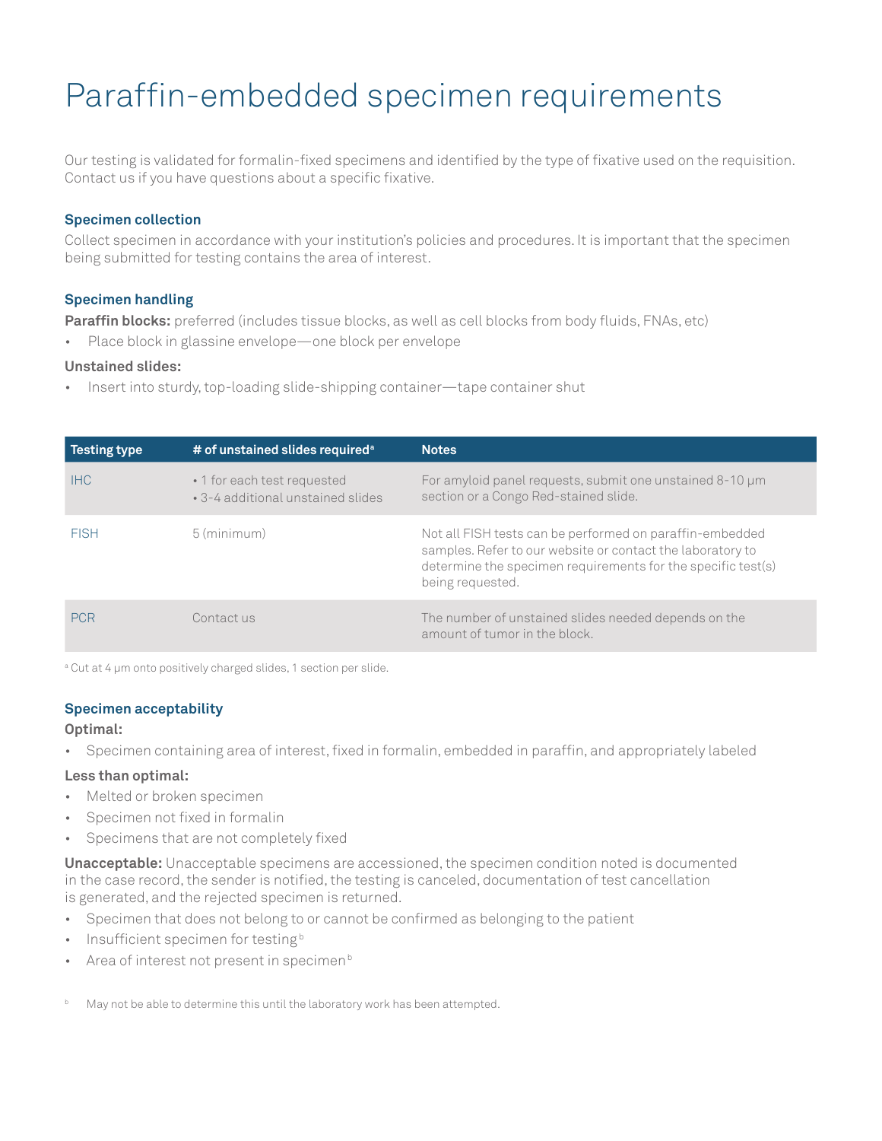### Paraffin-embedded specimen requirements

Our testing is validated for formalin-fixed specimens and identified by the type of fixative used on the requisition. Contact us if you have questions about a specific fixative.

### **Specimen collection**

Collect specimen in accordance with your institution's policies and procedures. It is important that the specimen being submitted for testing contains the area of interest.

### **Specimen handling**

**Paraffin blocks:** preferred (includes tissue blocks, as well as cell blocks from body fluids, FNAs, etc)

• Place block in glassine envelope—one block per envelope

### **Unstained slides:**

• Insert into sturdy, top-loading slide-shipping container—tape container shut

| Testing type | # of unstained slides required <sup>a</sup>                      | <b>Notes</b>                                                                                                                                                                                               |
|--------------|------------------------------------------------------------------|------------------------------------------------------------------------------------------------------------------------------------------------------------------------------------------------------------|
| IHC.         | • 1 for each test requested<br>• 3-4 additional unstained slides | For amyloid panel requests, submit one unstained 8-10 µm<br>section or a Congo Red-stained slide.                                                                                                          |
| <b>FISH</b>  | 5 (minimum)                                                      | Not all FISH tests can be performed on paraffin-embedded<br>samples. Refer to our website or contact the laboratory to<br>determine the specimen requirements for the specific test(s)<br>being requested. |
| <b>PCR</b>   | Contact us                                                       | The number of unstained slides needed depends on the<br>amount of tumor in the block.                                                                                                                      |

a Cut at 4 μm onto positively charged slides, 1 section per slide.

### **Specimen acceptability**

### **Optimal:**

• Specimen containing area of interest, fixed in formalin, embedded in paraffin, and appropriately labeled

### **Less than optimal:**

- Melted or broken specimen
- Specimen not fixed in formalin
- Specimens that are not completely fixed

**Unacceptable:** Unacceptable specimens are accessioned, the specimen condition noted is documented in the case record, the sender is notified, the testing is canceled, documentation of test cancellation is generated, and the rejected specimen is returned.

- Specimen that does not belong to or cannot be confirmed as belonging to the patient
- Insufficient specimen for testing<sup>b</sup>
- Area of interest not present in specimen $b$
- May not be able to determine this until the laboratory work has been attempted.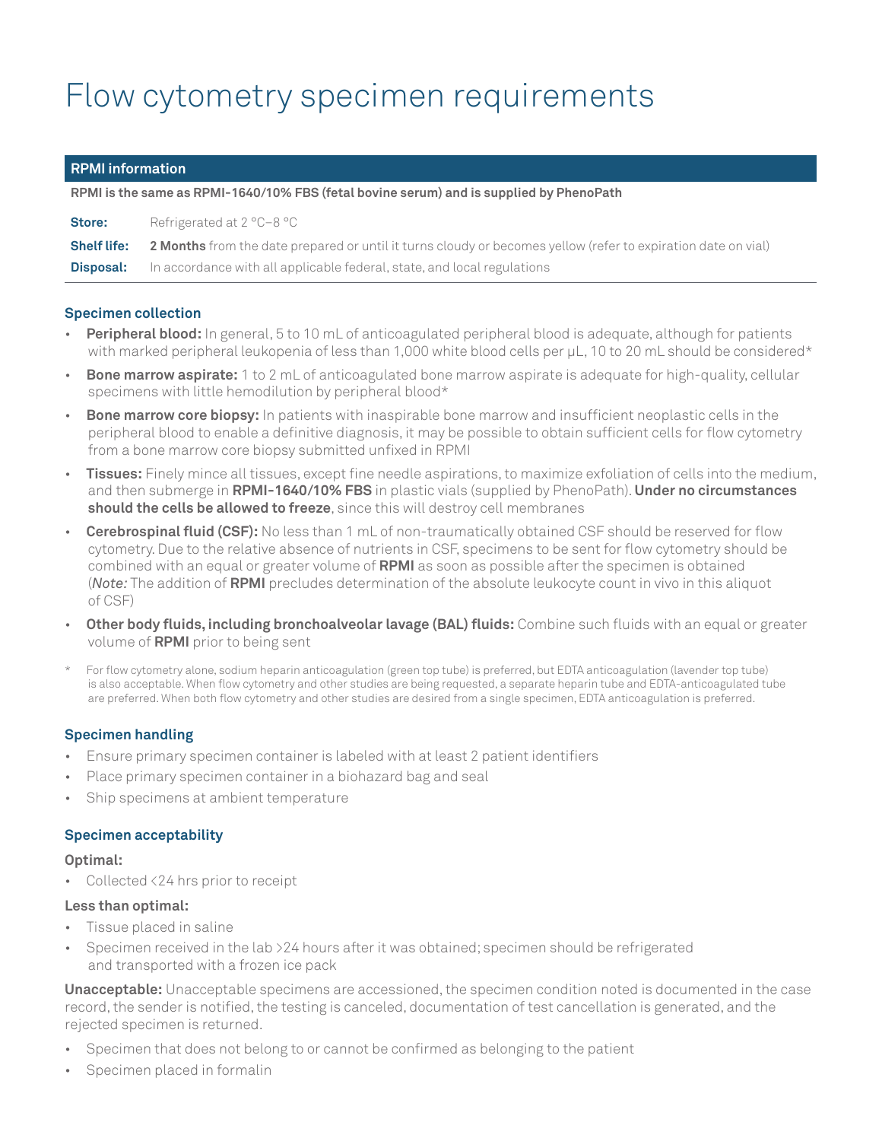### Flow cytometry specimen requirements

### **RPMI information**

**RPMI is the same as RPMI-1640/10% FBS (fetal bovine serum) and is supplied by PhenoPath**

| <b>Store:</b>      | Refrigerated at 2 °C-8 °C                                                                                            |
|--------------------|----------------------------------------------------------------------------------------------------------------------|
| <b>Shelf life:</b> | <b>2 Months</b> from the date prepared or until it turns cloudy or becomes yellow (refer to expiration date on vial) |
| Disposal:          | In accordance with all applicable federal, state, and local regulations                                              |

### **Specimen collection**

- **Peripheral blood:** In general, 5 to 10 mL of anticoagulated peripheral blood is adequate, although for patients with marked peripheral leukopenia of less than 1,000 white blood cells per µL, 10 to 20 mL should be considered\*
- **Bone marrow aspirate:** 1 to 2 mL of anticoagulated bone marrow aspirate is adequate for high-quality, cellular specimens with little hemodilution by peripheral blood\*
- **Bone marrow core biopsy:** In patients with inaspirable bone marrow and insufficient neoplastic cells in the peripheral blood to enable a definitive diagnosis, it may be possible to obtain sufficient cells for flow cytometry from a bone marrow core biopsy submitted unfixed in RPMI
- **Tissues:** Finely mince all tissues, except fine needle aspirations, to maximize exfoliation of cells into the medium, and then submerge in **RPMI-1640/10% FBS** in plastic vials (supplied by PhenoPath). **Under no circumstances should the cells be allowed to freeze**, since this will destroy cell membranes
- **Cerebrospinal fluid (CSF):** No less than 1 mL of non-traumatically obtained CSF should be reserved for flow cytometry. Due to the relative absence of nutrients in CSF, specimens to be sent for flow cytometry should be combined with an equal or greater volume of **RPMI** as soon as possible after the specimen is obtained (*Note:* The addition of **RPMI** precludes determination of the absolute leukocyte count in vivo in this aliquot of CSF)
- **Other body fluids, including bronchoalveolar lavage (BAL) fluids:** Combine such fluids with an equal or greater volume of **RPMI** prior to being sent
- For flow cytometry alone, sodium heparin anticoagulation (green top tube) is preferred, but EDTA anticoagulation (lavender top tube) is also acceptable. When flow cytometry and other studies are being requested, a separate heparin tube and EDTA-anticoagulated tube are preferred. When both flow cytometry and other studies are desired from a single specimen, EDTA anticoagulation is preferred.

### **Specimen handling**

- Ensure primary specimen container is labeled with at least 2 patient identifiers
- Place primary specimen container in a biohazard bag and seal
- Ship specimens at ambient temperature

### **Specimen acceptability**

### **Optimal:**

Collected <24 hrs prior to receipt

### **Less than optimal:**

- Tissue placed in saline
- Specimen received in the lab >24 hours after it was obtained; specimen should be refrigerated and transported with a frozen ice pack

**Unacceptable:** Unacceptable specimens are accessioned, the specimen condition noted is documented in the case record, the sender is notified, the testing is canceled, documentation of test cancellation is generated, and the rejected specimen is returned.

- Specimen that does not belong to or cannot be confirmed as belonging to the patient
- Specimen placed in formalin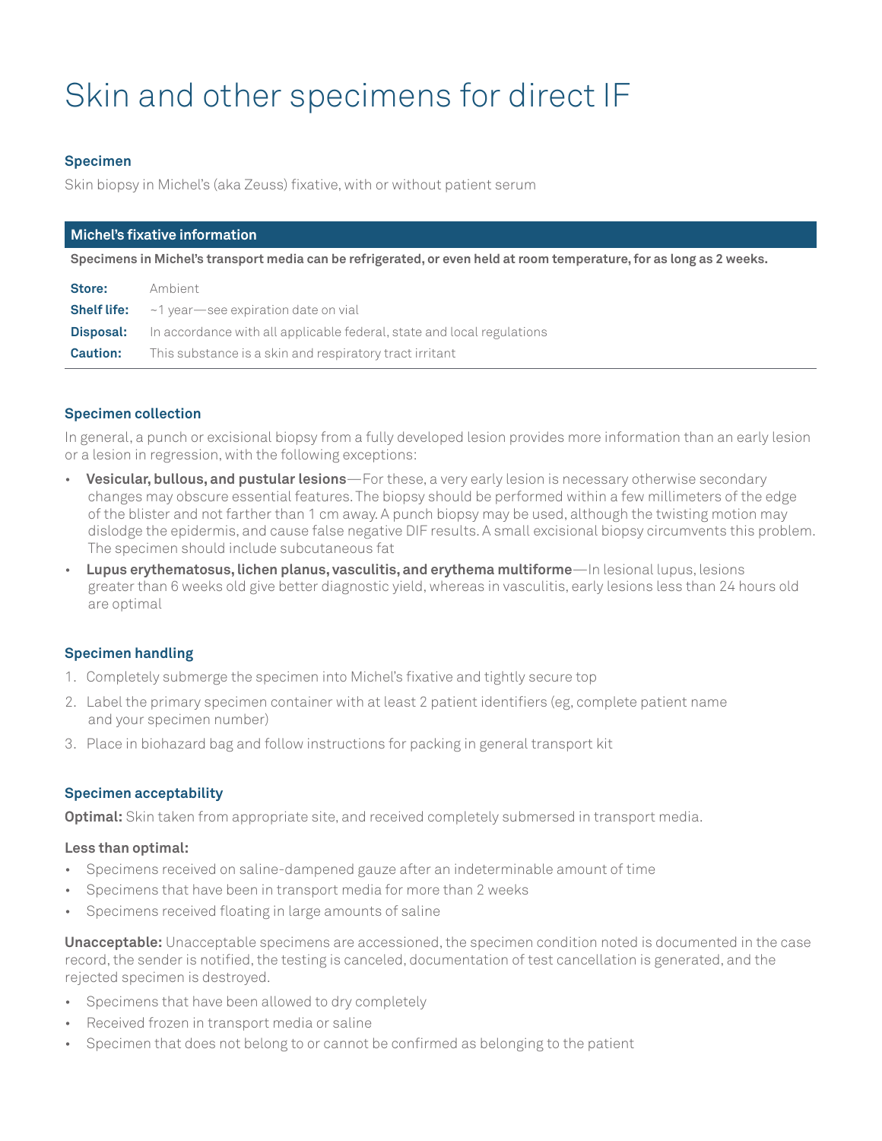## Skin and other specimens for direct IF

### **Specimen**

Skin biopsy in Michel's (aka Zeuss) fixative, with or without patient serum

| Michel's fixative information                                                                                        |                                                                        |  |  |  |
|----------------------------------------------------------------------------------------------------------------------|------------------------------------------------------------------------|--|--|--|
| Specimens in Michel's transport media can be refrigerated, or even held at room temperature, for as long as 2 weeks. |                                                                        |  |  |  |
| Store:                                                                                                               | Ambient                                                                |  |  |  |
| <b>Shelf life:</b>                                                                                                   | ~1 year see expiration date on vial                                    |  |  |  |
| Disposal:                                                                                                            | In accordance with all applicable federal, state and local regulations |  |  |  |
| <b>Caution:</b>                                                                                                      | This substance is a skin and respiratory tract irritant                |  |  |  |

### **Specimen collection**

In general, a punch or excisional biopsy from a fully developed lesion provides more information than an early lesion or a lesion in regression, with the following exceptions:

- **Vesicular, bullous, and pustular lesions**—For these, a very early lesion is necessary otherwise secondary changes may obscure essential features. The biopsy should be performed within a few millimeters of the edge of the blister and not farther than 1 cm away. A punch biopsy may be used, although the twisting motion may dislodge the epidermis, and cause false negative DIF results. A small excisional biopsy circumvents this problem. The specimen should include subcutaneous fat
- **Lupus erythematosus, lichen planus, vasculitis, and erythema multiforme**—In lesional lupus, lesions greater than 6 weeks old give better diagnostic yield, whereas in vasculitis, early lesions less than 24 hours old are optimal

### **Specimen handling**

- 1. Completely submerge the specimen into Michel's fixative and tightly secure top
- 2. Label the primary specimen container with at least 2 patient identifiers (eg, complete patient name and your specimen number)
- 3. Place in biohazard bag and follow instructions for packing in general transport kit

### **Specimen acceptability**

**Optimal:** Skin taken from appropriate site, and received completely submersed in transport media.

### **Less than optimal:**

- Specimens received on saline-dampened gauze after an indeterminable amount of time
- Specimens that have been in transport media for more than 2 weeks
- Specimens received floating in large amounts of saline

**Unacceptable:** Unacceptable specimens are accessioned, the specimen condition noted is documented in the case record, the sender is notified, the testing is canceled, documentation of test cancellation is generated, and the rejected specimen is destroyed.

- Specimens that have been allowed to dry completely
- Received frozen in transport media or saline
- Specimen that does not belong to or cannot be confirmed as belonging to the patient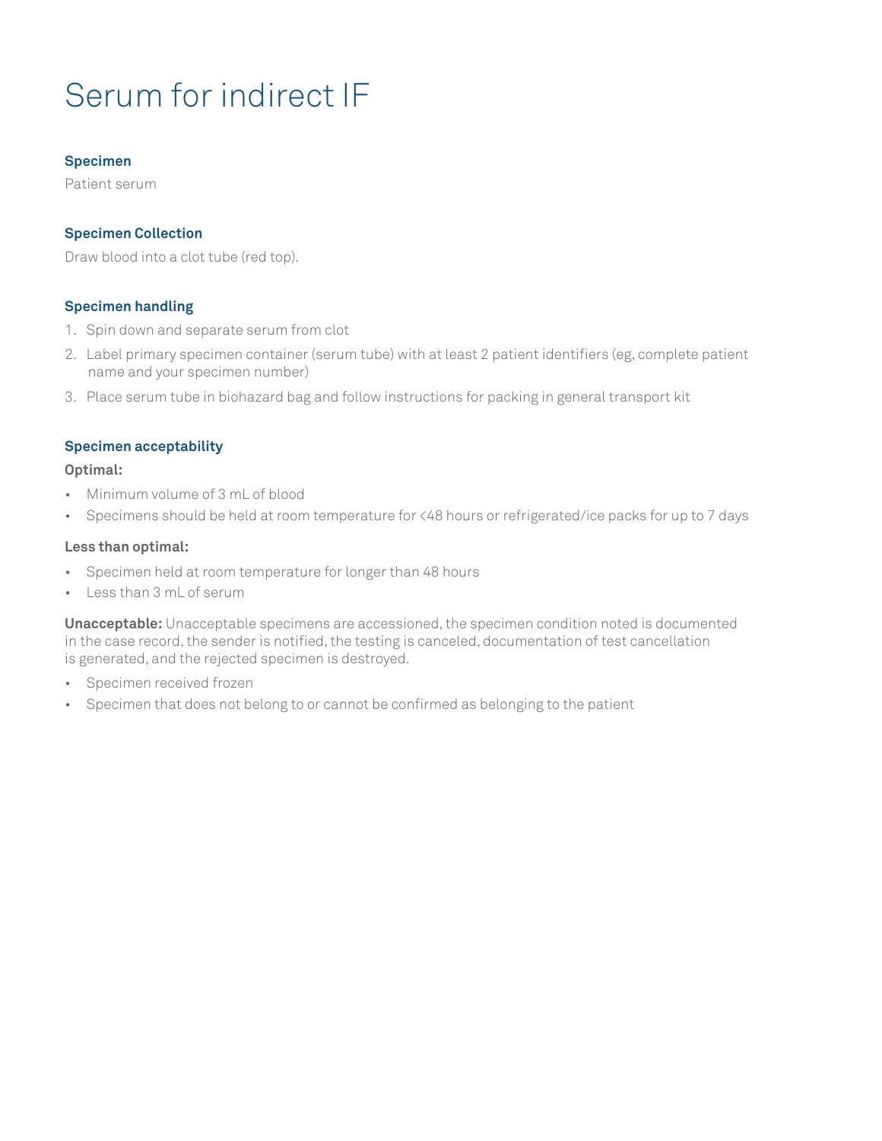## Serum for indirect IF

### **Specimen**

Patient serum

### **Specimen Collection**

Draw blood into a clot tube (red top).

### **Specimen handling**

- 1. Spin down and separate serum from clot
- 2. Label primary specimen container (serum tube) with at least 2 patient identifiers (eg, complete patient name and your specimen number)
- 3. Place serum tube in biohazard bag and follow instructions for packing in general transport kit

### **Specimen acceptability**

### **Optimal:**

- Minimum volume of 3 mL of blood
- Specimens should be held at room temperature for <48 hours or refrigerated/ice packs for up to 7 days

### **Less than optimal:**

- Specimen held at room temperature for longer than 48 hours
- Less than 3 mL of serum

**Unacceptable:** Unacceptable specimens are accessioned, the specimen condition noted is documented in the case record, the sender is notified, the testing is canceled, documentation of test cancellation is generated, and the rejected specimen is destroyed.

- Specimen received frozen
- Specimen that does not belong to or cannot be confirmed as belonging to the patient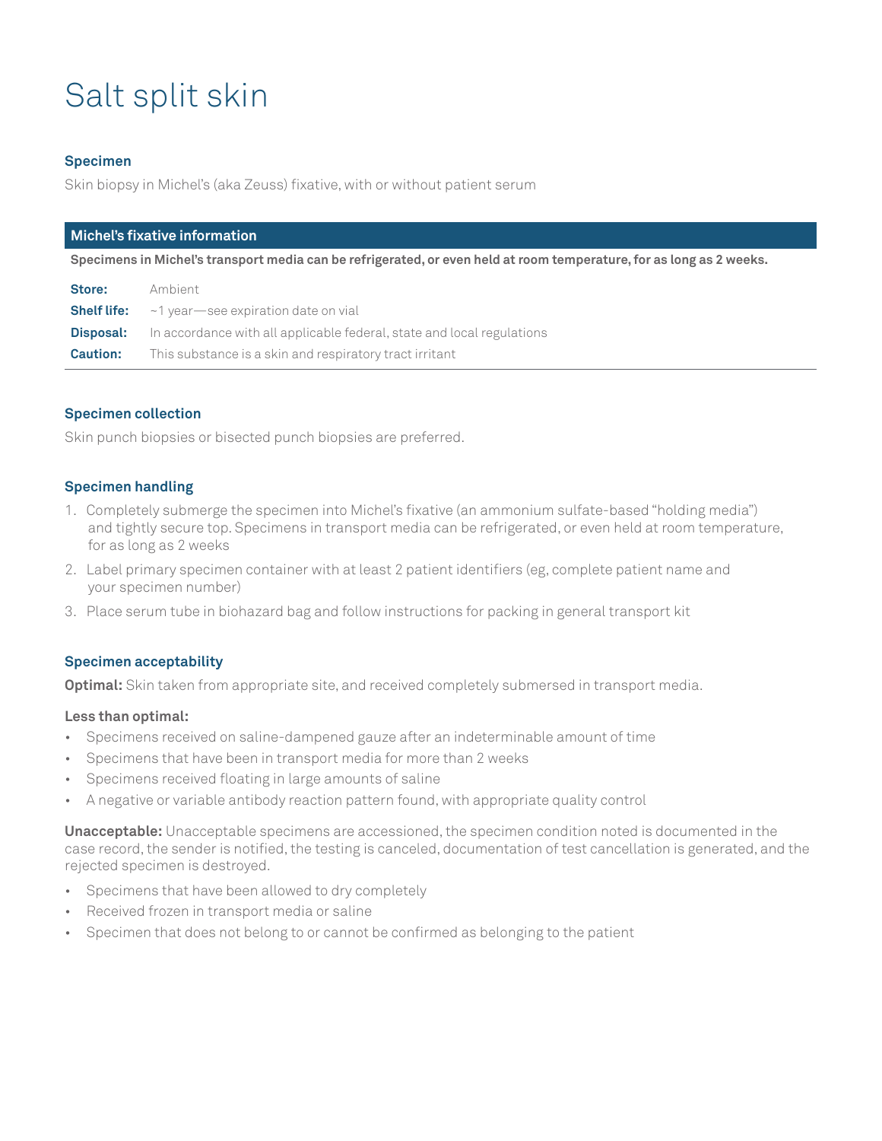# Salt split skin

### **Specimen**

Skin biopsy in Michel's (aka Zeuss) fixative, with or without patient serum

| Michel's fixative information |                                                                                                                      |  |  |  |
|-------------------------------|----------------------------------------------------------------------------------------------------------------------|--|--|--|
|                               | Specimens in Michel's transport media can be refrigerated, or even held at room temperature, for as long as 2 weeks. |  |  |  |
| Store:                        | Ambient                                                                                                              |  |  |  |
| <b>Shelf life:</b>            | $\sim$ 1 year $\sim$ see expiration date on vial                                                                     |  |  |  |
| Disposal:                     | In accordance with all applicable federal, state and local regulations                                               |  |  |  |

**Caution:** This substance is a skin and respiratory tract irritant

### **Specimen collection**

Skin punch biopsies or bisected punch biopsies are preferred.

### **Specimen handling**

- 1. Completely submerge the specimen into Michel's fixative (an ammonium sulfate-based "holding media") and tightly secure top. Specimens in transport media can be refrigerated, or even held at room temperature, for as long as 2 weeks
- 2. Label primary specimen container with at least 2 patient identifiers (eg, complete patient name and your specimen number)
- 3. Place serum tube in biohazard bag and follow instructions for packing in general transport kit

### **Specimen acceptability**

**Optimal:** Skin taken from appropriate site, and received completely submersed in transport media.

### **Less than optimal:**

- Specimens received on saline-dampened gauze after an indeterminable amount of time
- Specimens that have been in transport media for more than 2 weeks
- Specimens received floating in large amounts of saline
- A negative or variable antibody reaction pattern found, with appropriate quality control

**Unacceptable:** Unacceptable specimens are accessioned, the specimen condition noted is documented in the case record, the sender is notified, the testing is canceled, documentation of test cancellation is generated, and the rejected specimen is destroyed.

- Specimens that have been allowed to dry completely
- Received frozen in transport media or saline
- Specimen that does not belong to or cannot be confirmed as belonging to the patient